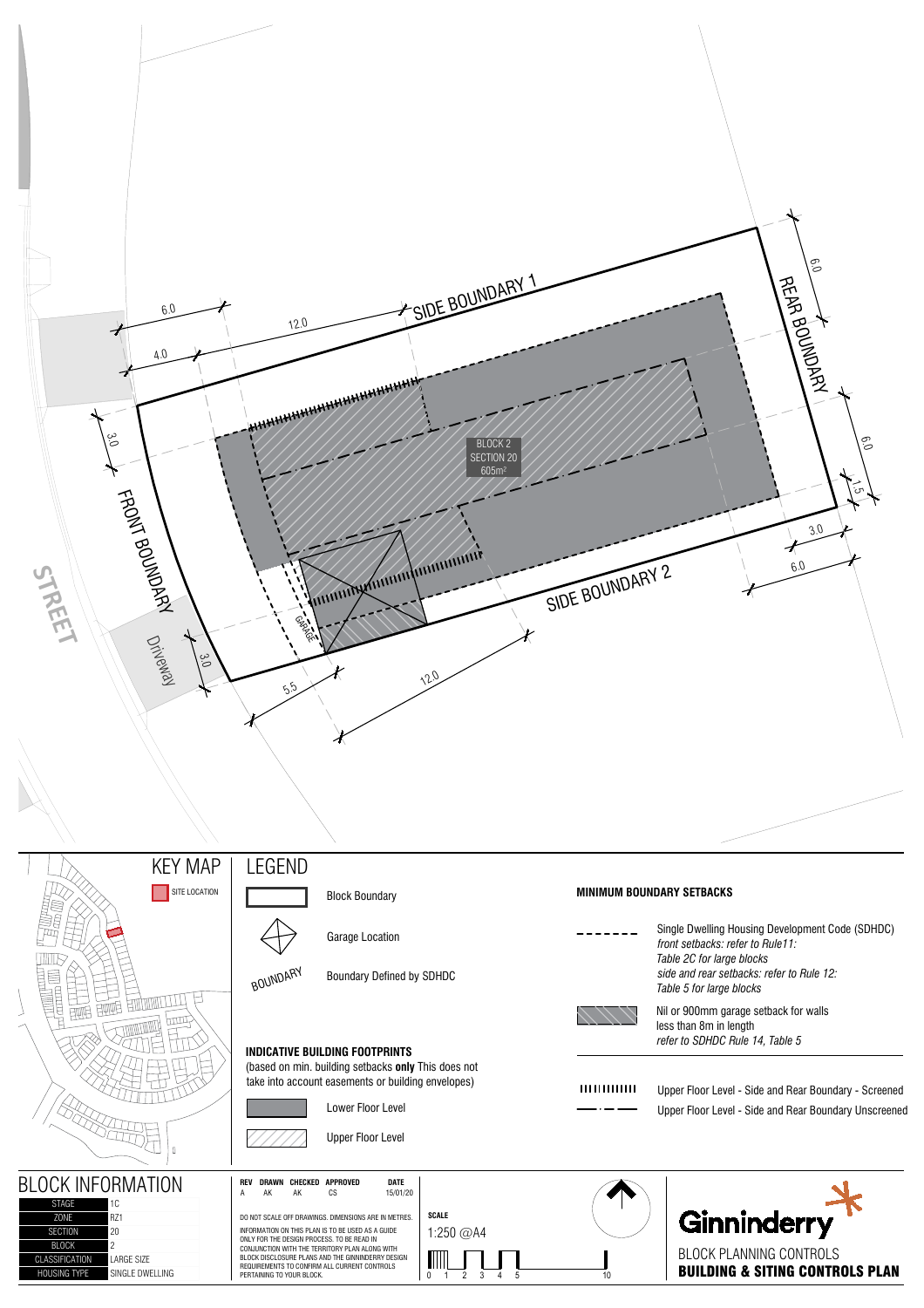